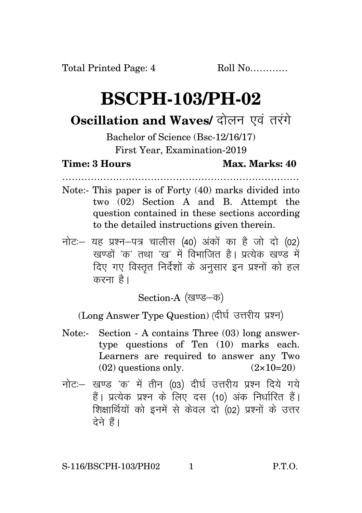# **BSCPH-103/PH-02**

## **Oscillation and Waves/ दोलन एवं तरंगे**

### Bachelor of Science (Bsc-12/16/17) First Year, Examination-2019

#### **Time: 3 Hours Max. Marks: 40**

…………………………………………………………………

- Note:- This paper is of Forty (40) marks divided into two (02) Section A and B. Attempt the question contained in these sections according to the detailed instructions given therein.
- $\vec{\eta}$ नोटः यह प्रश्न-पत्र चालीस (40) अंकों का है जो दो (02) .<br>खण्डों *'क'* तथा 'ख' में विभाजित है। पत्येक खण्ड में दिए गए विस्तृत निर्देशों के अनुसार इन प्रश्नों को हल करना $\hat{g}$ ।

Section-A (खण्ड-क)

(Long Answer Type Question) (दीर्घ उत्तरीय प्रश्न)

- Note:- Section A contains Three (03) long answertype questions of Ten (10) marks each. Learners are required to answer any Two  $(02)$  questions only.  $(2 \times 10=20)$
- नोट: खण्ड 'क' में तीन (03) दीर्घ उत्तरीय प्रश्न दिये गये हैं। प्रत्येक प्रश्न के लिए दस (10) अंक निर्धारित हैं। शिक्षार्थियों को इनमें से केवल दो (02) प्रश्नों के उत्तर देने हैं।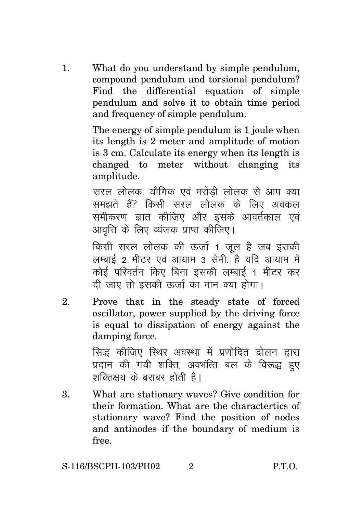1. What do you understand by simple pendulum, compound pendulum and torsional pendulum? Find the differential equation of simple pendulum and solve it to obtain time period and frequency of simple pendulum.

> The energy of simple pendulum is 1 joule when its length is 2 meter and amplitude of motion is 3 cm. Calculate its energy when its length is changed to meter without changing its amplitude.

> सरल लोलक, यौगिक एवं मरोडी लोलक से आप क्या समझते हैं? किसी सरल लोलक के लिए अवकल समीकरण ज्ञात कीजिए और इसके आवर्तकाल एवं आवत्ति के लिए व्यंजक प्राप्त कीजिए।

> किसी सरल लोलक की ऊर्जा 1 जुल है जब इसकी लम्बाई 2 मीटर एवं आयाम 3 सेमी. है यदि आयाम में कोई परिवर्तन किए बिना इसकी लम्बाई 1 मीटर कर दी जाए तो इसकी ऊर्जा का मान क्या होगा।

2. Prove that in the steady state of forced oscillator, power supplied by the driving force is equal to dissipation of energy against the damping force.

> सिद्ध कीजिए स्थिर अवस्था में प्रणोदित दोलन द्वारा प्रदान की गयी शक्ति, अवभंत्ति बल के विरूद्ध हुए शक्तिक्षय के बराबर होती है।

3. What are stationary waves? Give condition for their formation. What are the charactertics of stationary wave? Find the position of nodes and antinodes if the boundary of medium is free.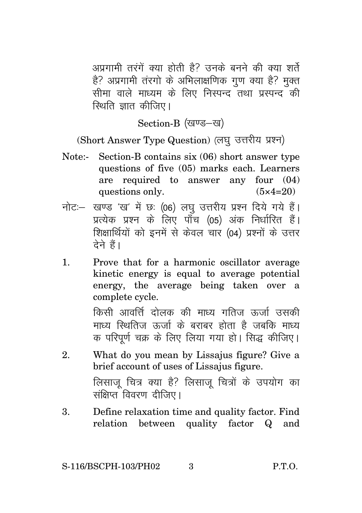अप्रगामी तरंगें क्या होती है? उनके बनने की क्या शर्ते है? अप्रगामी तंरगो के अभिलाक्षणिक गण क्या है? मक्त सीमा वाले माध्यम के लिए निस्पन्द तथा प्रस्पन्द की <u>स्थिति ज्ञात कीजिए।</u>

Section-B (खण्ड-ख)

(Short Answer Type Question) (लघु उत्तरीय प्रश्न)

- Note:- Section-B contains six (06) short answer type questions of five (05) marks each. Learners are required to answer any four (04) questions only.  $(5 \times 4=20)$
- नोट: खण्ड 'ख' में छः (06) लघु उत्तरीय प्रश्न दिये गये हैं। प्रत्येक प्रश्न के लिए पाँच (05) अंक निर्धारित हैं। शिक्षार्थियों को इनमें से केवल चार (04) प्रश्नों के उत्तर टेने हैं।
- 1. Prove that for a harmonic oscillator average kinetic energy is equal to average potential energy, the average being taken over a complete cycle.

किसी आवर्त्ति दोलक की माध्य गतिज रुर्जा उसकी माध्य रिथतिज कर्जा के बराबर होता है जबकि माध्य क परिपर्ण चक्र के लिए लिया गया हो। सिद्ध कीजिए।

- 2. What do you mean by Lissajus figure? Give a brief account of uses of Lissajus figure. लिसाज चित्र क्या है? लिसाज चित्रों के उपयोग का संक्षिप्त<sup>ें</sup> विवरण 'दीजिए ।
- 3. Define relaxation time and quality factor. Find relation between quality factor Q and